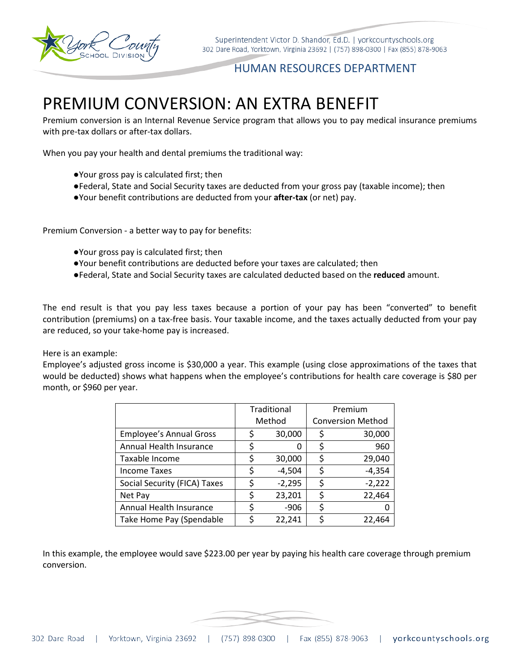

## HUMAN RESOURCES DEPARTMENT

# PREMIUM CONVERSION: AN EXTRA BENEFIT

Premium conversion is an Internal Revenue Service program that allows you to pay medical insurance premiums with pre-tax dollars or after-tax dollars.

When you pay your health and dental premiums the traditional way:

- ●Your gross pay is calculated first; then
- ●Federal, State and Social Security taxes are deducted from your gross pay (taxable income); then
- ●Your benefit contributions are deducted from your **after-tax** (or net) pay.

Premium Conversion - a better way to pay for benefits:

- ●Your gross pay is calculated first; then
- ●Your benefit contributions are deducted before your taxes are calculated; then
- ●Federal, State and Social Security taxes are calculated deducted based on the **reduced** amount.

The end result is that you pay less taxes because a portion of your pay has been "converted" to benefit contribution (premiums) on a tax-free basis. Your taxable income, and the taxes actually deducted from your pay are reduced, so your take-home pay is increased.

#### Here is an example:

Employee's adjusted gross income is \$30,000 a year. This example (using close approximations of the taxes that would be deducted) shows what happens when the employee's contributions for health care coverage is \$80 per month, or \$960 per year.

|                                | Traditional |          | Premium                  |          |
|--------------------------------|-------------|----------|--------------------------|----------|
|                                | Method      |          | <b>Conversion Method</b> |          |
| <b>Employee's Annual Gross</b> |             | 30,000   | Ş                        | 30,000   |
| Annual Health Insurance        | \$          | 0        | \$                       | 960      |
| Taxable Income                 | S           | 30,000   | \$                       | 29,040   |
| <b>Income Taxes</b>            | \$          | $-4,504$ | \$                       | $-4,354$ |
| Social Security (FICA) Taxes   | \$          | $-2,295$ | \$                       | $-2,222$ |
| Net Pay                        | Ş           | 23,201   | S                        | 22,464   |
| Annual Health Insurance        |             | $-906$   | \$                       | 0        |
| Take Home Pay (Spendable       |             | 22,241   | c                        | 22,464   |

In this example, the employee would save \$223.00 per year by paying his health care coverage through premium conversion.